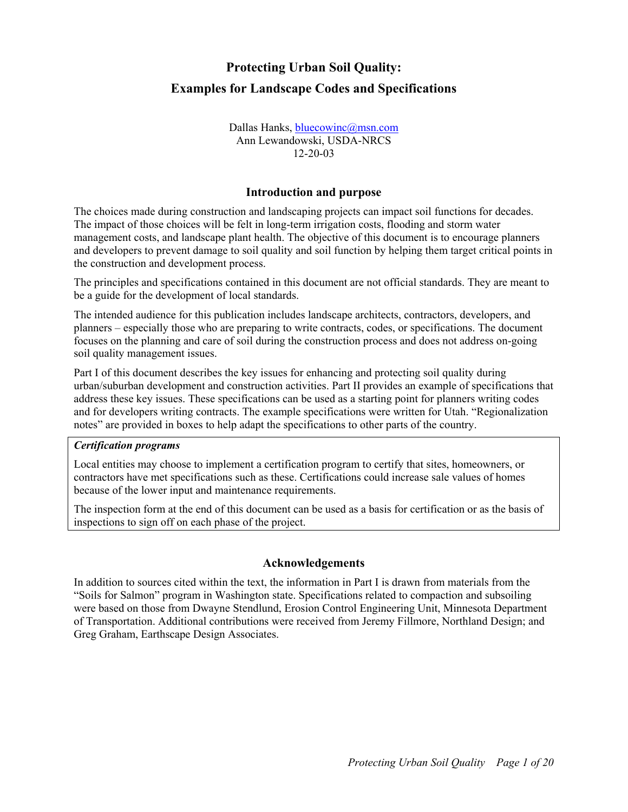# **Protecting Urban Soil Quality: Examples for Landscape Codes and Specifications**

Dallas Hanks, [bluecowinc@msn.com](mailto:bluecowinc@msn.com) Ann Lewandowski, USDA-NRCS 12-20-03

# **Introduction and purpose**

The choices made during construction and landscaping projects can impact soil functions for decades. The impact of those choices will be felt in long-term irrigation costs, flooding and storm water management costs, and landscape plant health. The objective of this document is to encourage planners and developers to prevent damage to soil quality and soil function by helping them target critical points in the construction and development process.

The principles and specifications contained in this document are not official standards. They are meant to be a guide for the development of local standards.

The intended audience for this publication includes landscape architects, contractors, developers, and planners – especially those who are preparing to write contracts, codes, or specifications. The document focuses on the planning and care of soil during the construction process and does not address on-going soil quality management issues.

Part I of this document describes the key issues for enhancing and protecting soil quality during urban/suburban development and construction activities. Part II provides an example of specifications that address these key issues. These specifications can be used as a starting point for planners writing codes and for developers writing contracts. The example specifications were written for Utah. "Regionalization notes" are provided in boxes to help adapt the specifications to other parts of the country.

#### *Certification programs*

Local entities may choose to implement a certification program to certify that sites, homeowners, or contractors have met specifications such as these. Certifications could increase sale values of homes because of the lower input and maintenance requirements.

The inspection form at the end of this document can be used as a basis for certification or as the basis of inspections to sign off on each phase of the project.

#### **Acknowledgements**

In addition to sources cited within the text, the information in Part I is drawn from materials from the "Soils for Salmon" program in Washington state. Specifications related to compaction and subsoiling were based on those from Dwayne Stendlund, Erosion Control Engineering Unit, Minnesota Department of Transportation. Additional contributions were received from Jeremy Fillmore, Northland Design; and Greg Graham, Earthscape Design Associates.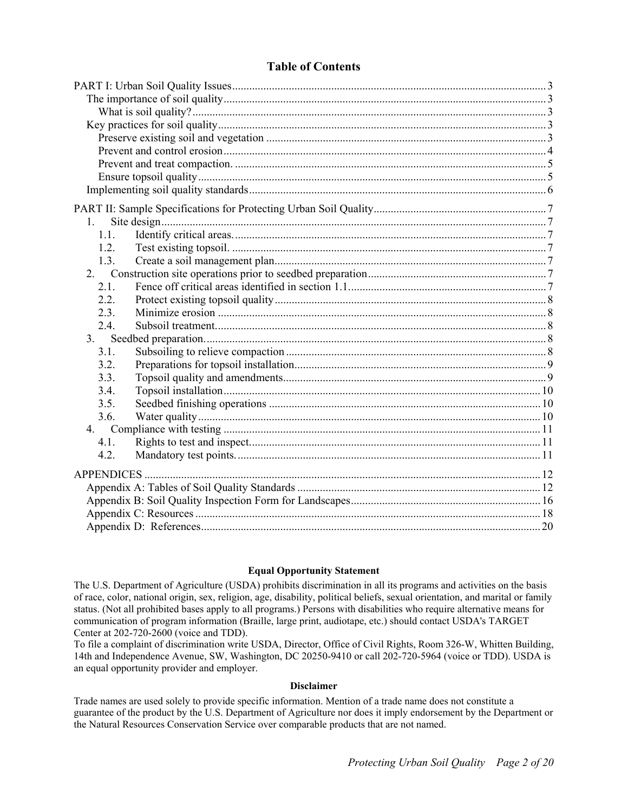#### **Table of Contents**

| $\mathbf{1}$ |  |
|--------------|--|
| 1.1.         |  |
| 1.2.         |  |
| 1.3.         |  |
|              |  |
| 2.1.         |  |
| 2.2.         |  |
| 2.3.         |  |
| 2.4.         |  |
| 3.           |  |
| 3.1.         |  |
| 3.2.         |  |
| 3.3.         |  |
| 3.4.         |  |
| 3.5.         |  |
| 3.6.         |  |
|              |  |
| 4.1.         |  |
| 4.2.         |  |
|              |  |
|              |  |
|              |  |
|              |  |
|              |  |

#### **Equal Opportunity Statement**

The U.S. Department of Agriculture (USDA) prohibits discrimination in all its programs and activities on the basis of race, color, national origin, sex, religion, age, disability, political beliefs, sexual orientation, and marital or family status. (Not all prohibited bases apply to all programs.) Persons with disabilities who require alternative means for communication of program information (Braille, large print, audiotape, etc.) should contact USDA's TARGET Center at 202-720-2600 (voice and TDD).

To file a complaint of discrimination write USDA, Director, Office of Civil Rights, Room 326-W, Whitten Building, 14th and Independence Avenue, SW, Washington, DC 20250-9410 or call 202-720-5964 (voice or TDD). USDA is an equal opportunity provider and employer.

#### **Disclaimer**

Trade names are used solely to provide specific information. Mention of a trade name does not constitute a guarantee of the product by the U.S. Department of Agriculture nor does it imply endorsement by the Department or the Natural Resources Conservation Service over comparable products that are not named.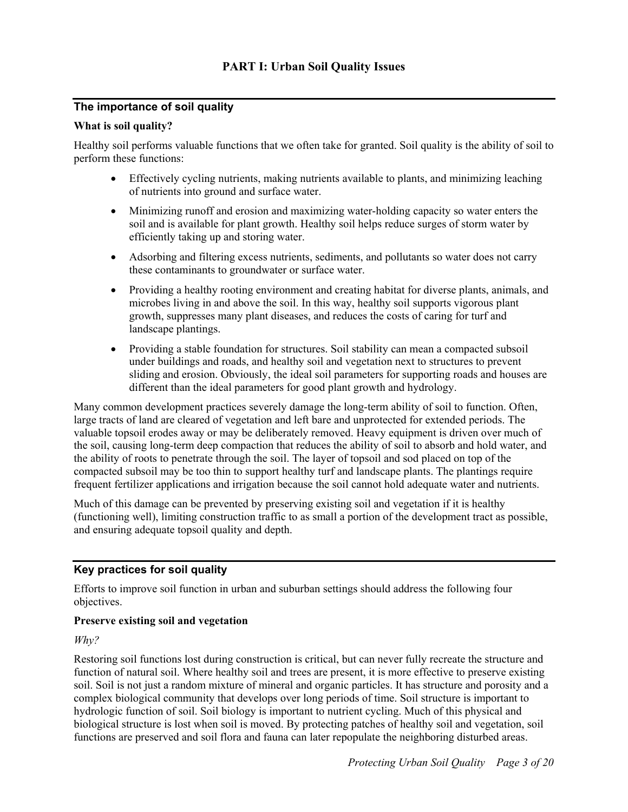# <span id="page-2-0"></span>**The importance of soil quality**

#### **What is soil quality?**

Healthy soil performs valuable functions that we often take for granted. Soil quality is the ability of soil to perform these functions:

- Effectively cycling nutrients, making nutrients available to plants, and minimizing leaching of nutrients into ground and surface water.
- Minimizing runoff and erosion and maximizing water-holding capacity so water enters the soil and is available for plant growth. Healthy soil helps reduce surges of storm water by efficiently taking up and storing water.
- Adsorbing and filtering excess nutrients, sediments, and pollutants so water does not carry these contaminants to groundwater or surface water.
- Providing a healthy rooting environment and creating habitat for diverse plants, animals, and microbes living in and above the soil. In this way, healthy soil supports vigorous plant growth, suppresses many plant diseases, and reduces the costs of caring for turf and landscape plantings.
- Providing a stable foundation for structures. Soil stability can mean a compacted subsoil under buildings and roads, and healthy soil and vegetation next to structures to prevent sliding and erosion. Obviously, the ideal soil parameters for supporting roads and houses are different than the ideal parameters for good plant growth and hydrology.

Many common development practices severely damage the long-term ability of soil to function. Often, large tracts of land are cleared of vegetation and left bare and unprotected for extended periods. The valuable topsoil erodes away or may be deliberately removed. Heavy equipment is driven over much of the soil, causing long-term deep compaction that reduces the ability of soil to absorb and hold water, and the ability of roots to penetrate through the soil. The layer of topsoil and sod placed on top of the compacted subsoil may be too thin to support healthy turf and landscape plants. The plantings require frequent fertilizer applications and irrigation because the soil cannot hold adequate water and nutrients.

Much of this damage can be prevented by preserving existing soil and vegetation if it is healthy (functioning well), limiting construction traffic to as small a portion of the development tract as possible, and ensuring adequate topsoil quality and depth.

# **Key practices for soil quality**

Efforts to improve soil function in urban and suburban settings should address the following four objectives.

# **Preserve existing soil and vegetation**

*Why?*

Restoring soil functions lost during construction is critical, but can never fully recreate the structure and function of natural soil. Where healthy soil and trees are present, it is more effective to preserve existing soil. Soil is not just a random mixture of mineral and organic particles. It has structure and porosity and a complex biological community that develops over long periods of time. Soil structure is important to hydrologic function of soil. Soil biology is important to nutrient cycling. Much of this physical and biological structure is lost when soil is moved. By protecting patches of healthy soil and vegetation, soil functions are preserved and soil flora and fauna can later repopulate the neighboring disturbed areas.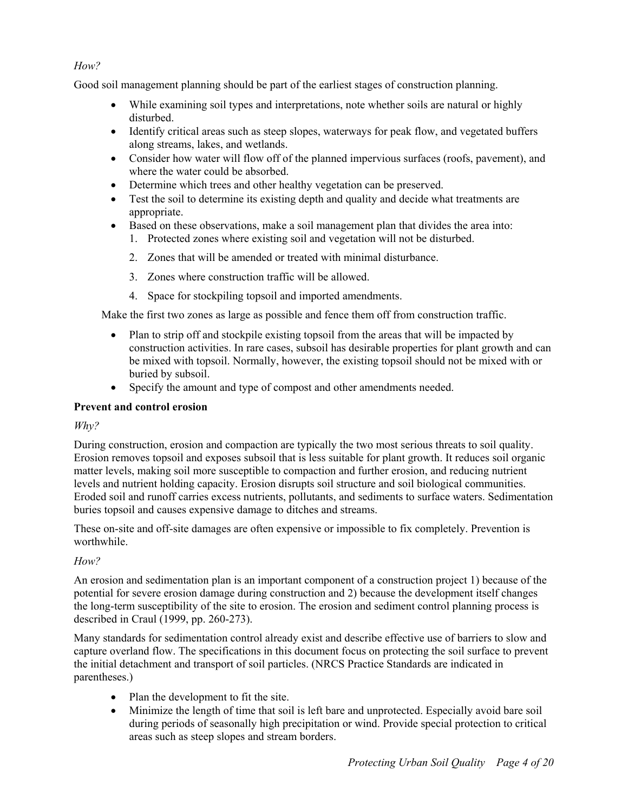# <span id="page-3-0"></span>*How?*

Good soil management planning should be part of the earliest stages of construction planning.

- While examining soil types and interpretations, note whether soils are natural or highly disturbed.
- Identify critical areas such as steep slopes, waterways for peak flow, and vegetated buffers along streams, lakes, and wetlands.
- Consider how water will flow off of the planned impervious surfaces (roofs, pavement), and where the water could be absorbed.
- Determine which trees and other healthy vegetation can be preserved.
- Test the soil to determine its existing depth and quality and decide what treatments are appropriate.
- Based on these observations, make a soil management plan that divides the area into:
	- 1. Protected zones where existing soil and vegetation will not be disturbed.
	- 2. Zones that will be amended or treated with minimal disturbance.
	- 3. Zones where construction traffic will be allowed.
	- 4. Space for stockpiling topsoil and imported amendments.

Make the first two zones as large as possible and fence them off from construction traffic.

- Plan to strip off and stockpile existing topsoil from the areas that will be impacted by construction activities. In rare cases, subsoil has desirable properties for plant growth and can be mixed with topsoil. Normally, however, the existing topsoil should not be mixed with or buried by subsoil.
- Specify the amount and type of compost and other amendments needed.

# **Prevent and control erosion**

# *Why?*

During construction, erosion and compaction are typically the two most serious threats to soil quality. Erosion removes topsoil and exposes subsoil that is less suitable for plant growth. It reduces soil organic matter levels, making soil more susceptible to compaction and further erosion, and reducing nutrient levels and nutrient holding capacity. Erosion disrupts soil structure and soil biological communities. Eroded soil and runoff carries excess nutrients, pollutants, and sediments to surface waters. Sedimentation buries topsoil and causes expensive damage to ditches and streams.

These on-site and off-site damages are often expensive or impossible to fix completely. Prevention is worthwhile.

# *How?*

An erosion and sedimentation plan is an important component of a construction project 1) because of the potential for severe erosion damage during construction and 2) because the development itself changes the long-term susceptibility of the site to erosion. The erosion and sediment control planning process is described in Craul (1999, pp. 260-273).

Many standards for sedimentation control already exist and describe effective use of barriers to slow and capture overland flow. The specifications in this document focus on protecting the soil surface to prevent the initial detachment and transport of soil particles. (NRCS Practice Standards are indicated in parentheses.)

- Plan the development to fit the site.
- Minimize the length of time that soil is left bare and unprotected. Especially avoid bare soil during periods of seasonally high precipitation or wind. Provide special protection to critical areas such as steep slopes and stream borders.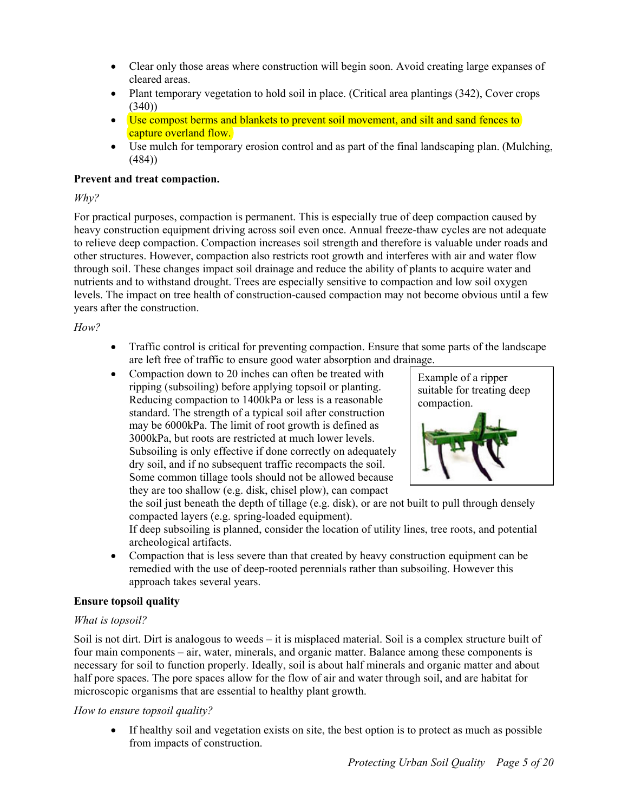- <span id="page-4-0"></span>• Clear only those areas where construction will begin soon. Avoid creating large expanses of cleared areas.
- Plant temporary vegetation to hold soil in place. (Critical area plantings (342), Cover crops  $(340)$
- Use compost berms and blankets to prevent soil movement, and silt and sand fences to capture overland flow.
- Use mulch for temporary erosion control and as part of the final landscaping plan. (Mulching, (484))

# **Prevent and treat compaction.**

#### *Why?*

For practical purposes, compaction is permanent. This is especially true of deep compaction caused by heavy construction equipment driving across soil even once. Annual freeze-thaw cycles are not adequate to relieve deep compaction. Compaction increases soil strength and therefore is valuable under roads and other structures. However, compaction also restricts root growth and interferes with air and water flow through soil. These changes impact soil drainage and reduce the ability of plants to acquire water and nutrients and to withstand drought. Trees are especially sensitive to compaction and low soil oxygen levels. The impact on tree health of construction-caused compaction may not become obvious until a few years after the construction.

#### *How?*

- Traffic control is critical for preventing compaction. Ensure that some parts of the landscape are left free of traffic to ensure good water absorption and drainage.
- Compaction down to 20 inches can often be treated with ripping (subsoiling) before applying topsoil or planting. Reducing compaction to 1400kPa or less is a reasonable standard. The strength of a typical soil after construction may be 6000kPa. The limit of root growth is defined as 3000kPa, but roots are restricted at much lower levels. Subsoiling is only effective if done correctly on adequately dry soil, and if no subsequent traffic recompacts the soil. Some common tillage tools should not be allowed because they are too shallow (e.g. disk, chisel plow), can compact



the soil just beneath the depth of tillage (e.g. disk), or are not built to pull through densely compacted layers (e.g. spring-loaded equipment).

If deep subsoiling is planned, consider the location of utility lines, tree roots, and potential archeological artifacts.

• Compaction that is less severe than that created by heavy construction equipment can be remedied with the use of deep-rooted perennials rather than subsoiling. However this approach takes several years.

# **Ensure topsoil quality**

# *What is topsoil?*

Soil is not dirt. Dirt is analogous to weeds – it is misplaced material. Soil is a complex structure built of four main components – air, water, minerals, and organic matter. Balance among these components is necessary for soil to function properly. Ideally, soil is about half minerals and organic matter and about half pore spaces. The pore spaces allow for the flow of air and water through soil, and are habitat for microscopic organisms that are essential to healthy plant growth.

# *How to ensure topsoil quality?*

• If healthy soil and vegetation exists on site, the best option is to protect as much as possible from impacts of construction.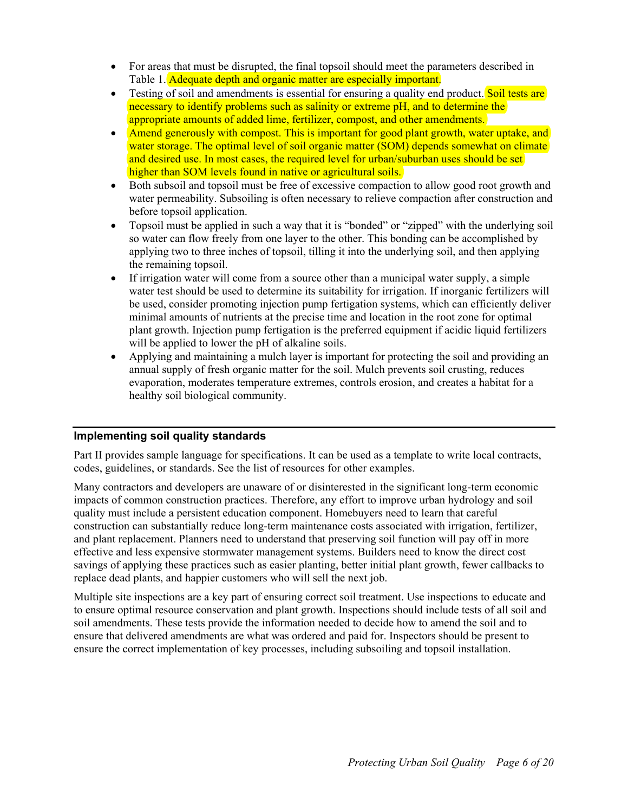- <span id="page-5-0"></span>• For areas that must be disrupted, the final topsoil should meet the parameters described in Table 1. Adequate depth and organic matter are especially important.
- Testing of soil and amendments is essential for ensuring a quality end product. Soil tests are necessary to identify problems such as salinity or extreme pH, and to determine the appropriate amounts of added lime, fertilizer, compost, and other amendments.
- Amend generously with compost. This is important for good plant growth, water uptake, and water storage. The optimal level of soil organic matter (SOM) depends somewhat on climate and desired use. In most cases, the required level for urban/suburban uses should be set higher than SOM levels found in native or agricultural soils.
- Both subsoil and topsoil must be free of excessive compaction to allow good root growth and water permeability. Subsoiling is often necessary to relieve compaction after construction and before topsoil application.
- Topsoil must be applied in such a way that it is "bonded" or "zipped" with the underlying soil so water can flow freely from one layer to the other. This bonding can be accomplished by applying two to three inches of topsoil, tilling it into the underlying soil, and then applying the remaining topsoil.
- If irrigation water will come from a source other than a municipal water supply, a simple water test should be used to determine its suitability for irrigation. If inorganic fertilizers will be used, consider promoting injection pump fertigation systems, which can efficiently deliver minimal amounts of nutrients at the precise time and location in the root zone for optimal plant growth. Injection pump fertigation is the preferred equipment if acidic liquid fertilizers will be applied to lower the pH of alkaline soils.
- Applying and maintaining a mulch layer is important for protecting the soil and providing an annual supply of fresh organic matter for the soil. Mulch prevents soil crusting, reduces evaporation, moderates temperature extremes, controls erosion, and creates a habitat for a healthy soil biological community.

# **Implementing soil quality standards**

Part II provides sample language for specifications. It can be used as a template to write local contracts, codes, guidelines, or standards. See the list of resources for other examples.

Many contractors and developers are unaware of or disinterested in the significant long-term economic impacts of common construction practices. Therefore, any effort to improve urban hydrology and soil quality must include a persistent education component. Homebuyers need to learn that careful construction can substantially reduce long-term maintenance costs associated with irrigation, fertilizer, and plant replacement. Planners need to understand that preserving soil function will pay off in more effective and less expensive stormwater management systems. Builders need to know the direct cost savings of applying these practices such as easier planting, better initial plant growth, fewer callbacks to replace dead plants, and happier customers who will sell the next job.

Multiple site inspections are a key part of ensuring correct soil treatment. Use inspections to educate and to ensure optimal resource conservation and plant growth. Inspections should include tests of all soil and soil amendments. These tests provide the information needed to decide how to amend the soil and to ensure that delivered amendments are what was ordered and paid for. Inspectors should be present to ensure the correct implementation of key processes, including subsoiling and topsoil installation.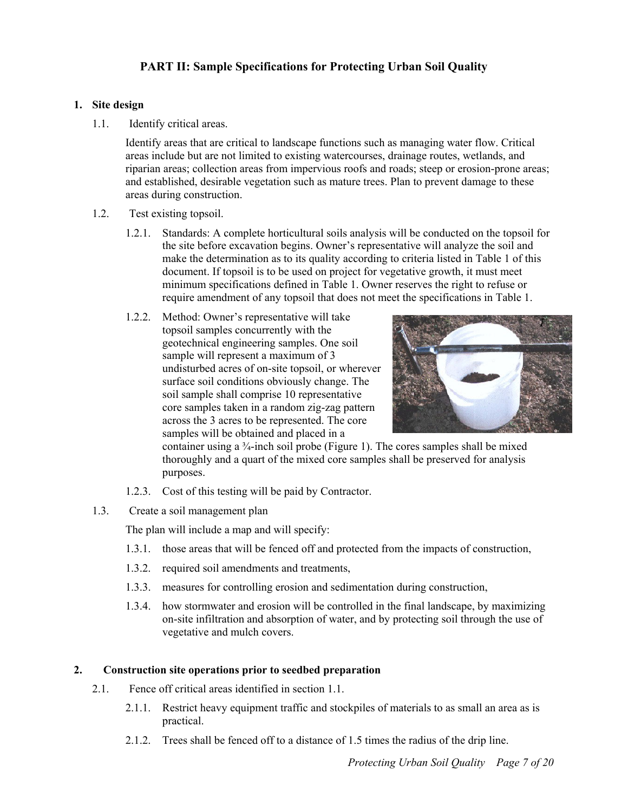# **PART II: Sample Specifications for Protecting Urban Soil Quality**

#### <span id="page-6-0"></span>**1. Site design**

1.1. Identify critical areas.

> Identify areas that are critical to landscape functions such as managing water flow. Critical areas include but are not limited to existing watercourses, drainage routes, wetlands, and riparian areas; collection areas from impervious roofs and roads; steep or erosion-prone areas; and established, desirable vegetation such as mature trees. Plan to prevent damage to these areas during construction.

- 1.2. Test existing topsoil.
	- 1.2.1. Standards: A complete horticultural soils analysis will be conducted on the topsoil for the site before excavation begins. Owner's representative will analyze the soil and make the determination as to its quality according to criteria listed in Table 1 of this document. If topsoil is to be used on project for vegetative growth, it must meet minimum specifications defined in Table 1. Owner reserves the right to refuse or require amendment of any topsoil that does not meet the specifications in Table 1.
	- 1.2.2. Method: Owner's representative will take topsoil samples concurrently with the geotechnical engineering samples. One soil sample will represent a maximum of 3 undisturbed acres of on-site topsoil, or wherever surface soil conditions obviously change. The soil sample shall comprise 10 representative core samples taken in a random zig-zag pattern across the 3 acres to be represented. The core samples will be obtained and placed in a



container using a  $\frac{3}{4}$ -inch soil probe (Figure 1). The cores samples shall be mixed thoroughly and a quart of the mixed core samples shall be preserved for analysis purposes.

- 1.2.3. Cost of this testing will be paid by Contractor.
- 1.3. Create a soil management plan

The plan will include a map and will specify:

- 1.3.1. those areas that will be fenced off and protected from the impacts of construction,
- 1.3.2. required soil amendments and treatments,
- 1.3.3. measures for controlling erosion and sedimentation during construction,
- 1.3.4. how stormwater and erosion will be controlled in the final landscape, by maximizing on-site infiltration and absorption of water, and by protecting soil through the use of vegetative and mulch covers.

# **2. Construction site operations prior to seedbed preparation**

- 2.1. Fence off critical areas identified in section 1.1.
	- 2.1.1. Restrict heavy equipment traffic and stockpiles of materials to as small an area as is practical.
	- 2.1.2. Trees shall be fenced off to a distance of 1.5 times the radius of the drip line.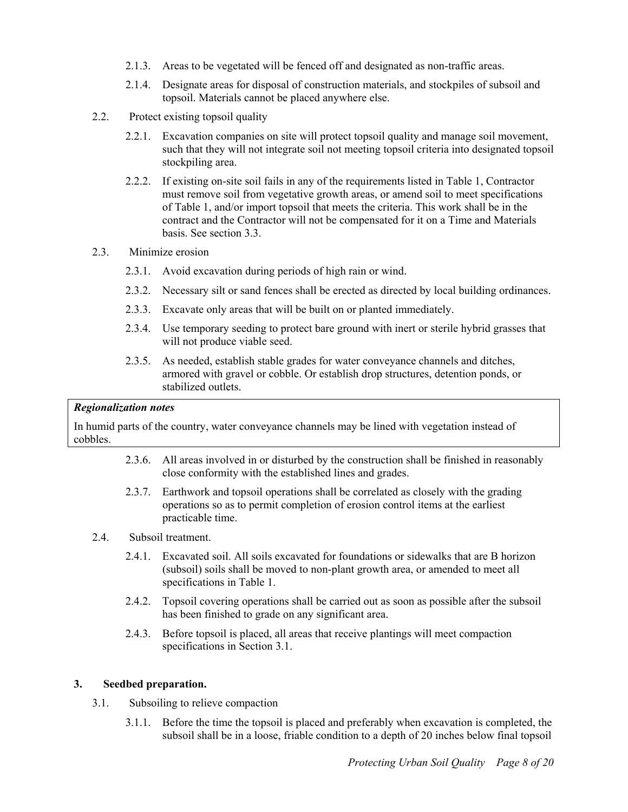- <span id="page-7-0"></span>2.1.3. Areas to be vegetated will be fenced off and designated as non-traffic areas.
- 2.1.4. Designate areas for disposal of construction materials, and stockpiles of subsoil and topsoil. Materials cannot be placed anywhere else.
- 2.2. Protect existing topsoil quality
	- 2.2.1. Excavation companies on site will protect topsoil quality and manage soil movement, such that they will not integrate soil not meeting topsoil criteria into designated topsoil stockpiling area.
	- 2.2.2. If existing on-site soil fails in any of the requirements listed in Table 1, Contractor must remove soil from vegetative growth areas, or amend soil to meet specifications of Table 1, and/or import topsoil that meets the criteria. This work shall be in the contract and the Contractor will not be compensated for it on a Time and Materials basis. See section 3.3.
- 2.3. Minimize erosion
	- 2.3.1. Avoid excavation during periods of high rain or wind.
	- 2.3.2. Necessary silt or sand fences shall be erected as directed by local building ordinances.
	- 2.3.3. Excavate only areas that will be built on or planted immediately.
	- 2.3.4. Use temporary seeding to protect bare ground with inert or sterile hybrid grasses that will not produce viable seed.
	- 2.3.5. As needed, establish stable grades for water conveyance channels and ditches, armored with gravel or cobble. Or establish drop structures, detention ponds, or stabilized outlets.

#### *Regionalization notes*

In humid parts of the country, water conveyance channels may be lined with vegetation instead of cobbles.

- 2.3.6. All areas involved in or disturbed by the construction shall be finished in reasonably close conformity with the established lines and grades.
- 2.3.7. Earthwork and topsoil operations shall be correlated as closely with the grading operations so as to permit completion of erosion control items at the earliest practicable time.
- 2.4. Subsoil treatment.
	- 2.4.1. Excavated soil. All soils excavated for foundations or sidewalks that are B horizon (subsoil) soils shall be moved to non-plant growth area, or amended to meet all specifications in Table 1.
	- 2.4.2. Topsoil covering operations shall be carried out as soon as possible after the subsoil has been finished to grade on any significant area.
	- 2.4.3. Before topsoil is placed, all areas that receive plantings will meet compaction specifications in Section 3.1.

#### **3. Seedbed preparation.**

- 3.1. Subsoiling to relieve compaction
	- 3.1.1. Before the time the topsoil is placed and preferably when excavation is completed, the subsoil shall be in a loose, friable condition to a depth of 20 inches below final topsoil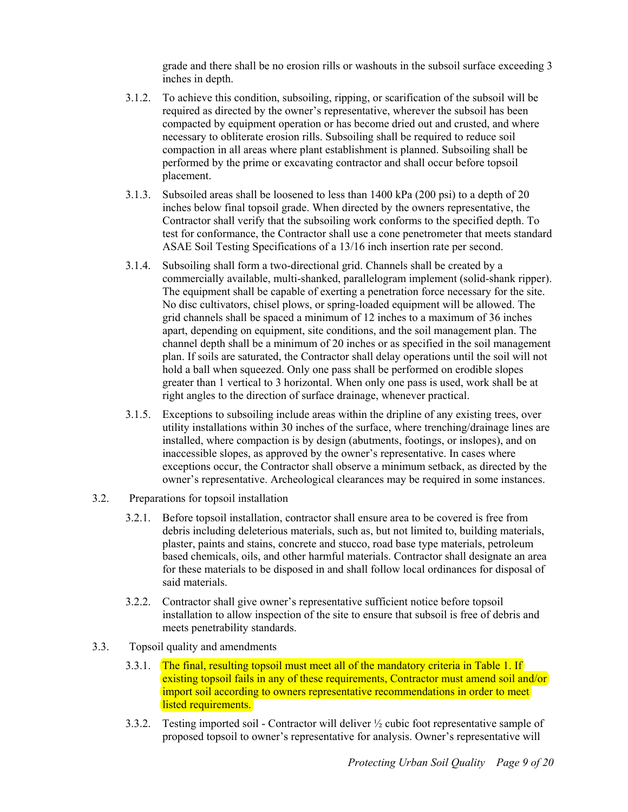grade and there shall be no erosion rills or washouts in the subsoil surface exceeding 3 inches in depth.

- <span id="page-8-0"></span>3.1.2. To achieve this condition, subsoiling, ripping, or scarification of the subsoil will be required as directed by the owner's representative, wherever the subsoil has been compacted by equipment operation or has become dried out and crusted, and where necessary to obliterate erosion rills. Subsoiling shall be required to reduce soil compaction in all areas where plant establishment is planned. Subsoiling shall be performed by the prime or excavating contractor and shall occur before topsoil placement.
- 3.1.3. Subsoiled areas shall be loosened to less than 1400 kPa (200 psi) to a depth of 20 inches below final topsoil grade. When directed by the owners representative, the Contractor shall verify that the subsoiling work conforms to the specified depth. To test for conformance, the Contractor shall use a cone penetrometer that meets standard ASAE Soil Testing Specifications of a 13/16 inch insertion rate per second.
- 3.1.4. Subsoiling shall form a two-directional grid. Channels shall be created by a commercially available, multi-shanked, parallelogram implement (solid-shank ripper). The equipment shall be capable of exerting a penetration force necessary for the site. No disc cultivators, chisel plows, or spring-loaded equipment will be allowed. The grid channels shall be spaced a minimum of 12 inches to a maximum of 36 inches apart, depending on equipment, site conditions, and the soil management plan. The channel depth shall be a minimum of 20 inches or as specified in the soil management plan. If soils are saturated, the Contractor shall delay operations until the soil will not hold a ball when squeezed. Only one pass shall be performed on erodible slopes greater than 1 vertical to 3 horizontal. When only one pass is used, work shall be at right angles to the direction of surface drainage, whenever practical.
- 3.1.5. Exceptions to subsoiling include areas within the dripline of any existing trees, over utility installations within 30 inches of the surface, where trenching/drainage lines are installed, where compaction is by design (abutments, footings, or inslopes), and on inaccessible slopes, as approved by the owner's representative. In cases where exceptions occur, the Contractor shall observe a minimum setback, as directed by the owner's representative. Archeological clearances may be required in some instances.
- 3.2. Preparations for topsoil installation
	- 3.2.1. Before topsoil installation, contractor shall ensure area to be covered is free from debris including deleterious materials, such as, but not limited to, building materials, plaster, paints and stains, concrete and stucco, road base type materials, petroleum based chemicals, oils, and other harmful materials. Contractor shall designate an area for these materials to be disposed in and shall follow local ordinances for disposal of said materials.
	- 3.2.2. Contractor shall give owner's representative sufficient notice before topsoil installation to allow inspection of the site to ensure that subsoil is free of debris and meets penetrability standards.
- 3.3. Topsoil quality and amendments
	- 3.3.1. The final, resulting topsoil must meet all of the mandatory criteria in Table 1. If existing topsoil fails in any of these requirements, Contractor must amend soil and/or import soil according to owners representative recommendations in order to meet listed requirements.
	- 3.3.2. Testing imported soil - Contractor will deliver ½ cubic foot representative sample of proposed topsoil to owner's representative for analysis. Owner's representative will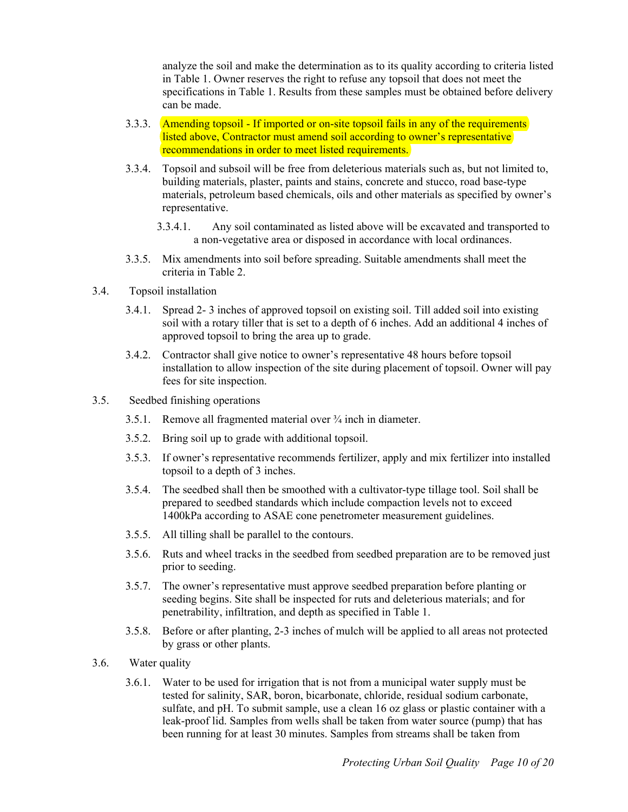analyze the soil and make the determination as to its quality according to criteria listed in Table 1. Owner reserves the right to refuse any topsoil that does not meet the specifications in Table 1. Results from these samples must be obtained before delivery can be made.

- <span id="page-9-0"></span>3.3.3. Amending topsoil - If imported or on-site topsoil fails in any of the requirements listed above, Contractor must amend soil according to owner's representative recommendations in order to meet listed requirements.
- 3.3.4. Topsoil and subsoil will be free from deleterious materials such as, but not limited to, building materials, plaster, paints and stains, concrete and stucco, road base-type materials, petroleum based chemicals, oils and other materials as specified by owner's representative.
	- 3.3.4.1. Any soil contaminated as listed above will be excavated and transported to a non-vegetative area or disposed in accordance with local ordinances.
- 3.3.5. Mix amendments into soil before spreading. Suitable amendments shall meet the criteria in Table 2.
- 3.4. Topsoil installation
	- 3.4.1. Spread 2- 3 inches of approved topsoil on existing soil. Till added soil into existing soil with a rotary tiller that is set to a depth of 6 inches. Add an additional 4 inches of approved topsoil to bring the area up to grade.
	- 3.4.2. Contractor shall give notice to owner's representative 48 hours before topsoil installation to allow inspection of the site during placement of topsoil. Owner will pay fees for site inspection.
- 3.5. Seedbed finishing operations
	- 3.5.1. Remove all fragmented material over ¾ inch in diameter.
	- 3.5.2. Bring soil up to grade with additional topsoil.
	- 3.5.3. If owner's representative recommends fertilizer, apply and mix fertilizer into installed topsoil to a depth of 3 inches.
	- 3.5.4. The seedbed shall then be smoothed with a cultivator-type tillage tool. Soil shall be prepared to seedbed standards which include compaction levels not to exceed 1400kPa according to ASAE cone penetrometer measurement guidelines.
	- 3.5.5. All tilling shall be parallel to the contours.
	- 3.5.6. Ruts and wheel tracks in the seedbed from seedbed preparation are to be removed just prior to seeding.
	- 3.5.7. The owner's representative must approve seedbed preparation before planting or seeding begins. Site shall be inspected for ruts and deleterious materials; and for penetrability, infiltration, and depth as specified in Table 1.
	- 3.5.8. Before or after planting, 2-3 inches of mulch will be applied to all areas not protected by grass or other plants.
- 3.6. Water quality
	- 3.6.1. Water to be used for irrigation that is not from a municipal water supply must be tested for salinity, SAR, boron, bicarbonate, chloride, residual sodium carbonate, sulfate, and pH. To submit sample, use a clean 16 oz glass or plastic container with a leak-proof lid. Samples from wells shall be taken from water source (pump) that has been running for at least 30 minutes. Samples from streams shall be taken from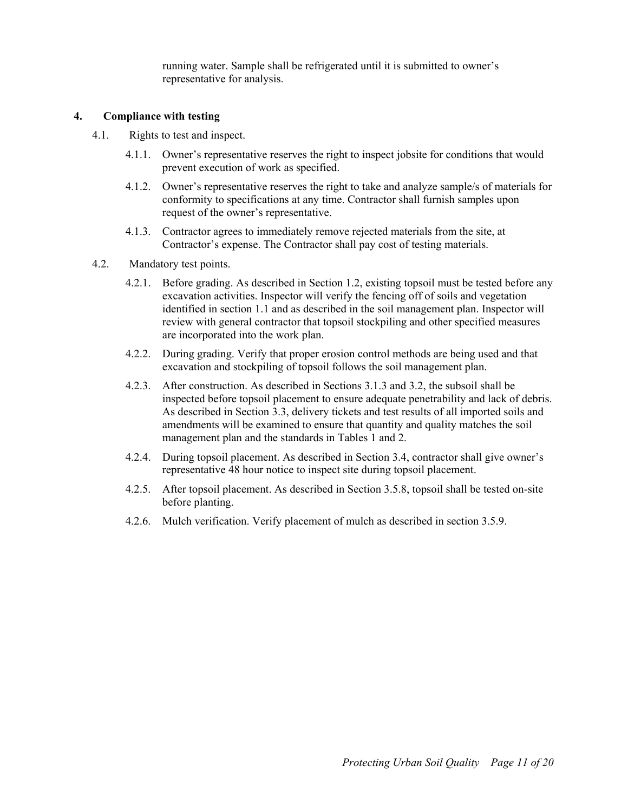running water. Sample shall be refrigerated until it is submitted to owner's representative for analysis.

#### <span id="page-10-0"></span>**4. Compliance with testing**

- 4.1. Rights to test and inspect.
	- 4.1.1. Owner's representative reserves the right to inspect jobsite for conditions that would prevent execution of work as specified.
	- 4.1.2. Owner's representative reserves the right to take and analyze sample/s of materials for conformity to specifications at any time. Contractor shall furnish samples upon request of the owner's representative.
	- 4.1.3. Contractor agrees to immediately remove rejected materials from the site, at Contractor's expense. The Contractor shall pay cost of testing materials.
- 4.2. Mandatory test points.
	- 4.2.1. Before grading. As described in Section 1.2, existing topsoil must be tested before any excavation activities. Inspector will verify the fencing off of soils and vegetation identified in section 1.1 and as described in the soil management plan. Inspector will review with general contractor that topsoil stockpiling and other specified measures are incorporated into the work plan.
	- 4.2.2. During grading. Verify that proper erosion control methods are being used and that excavation and stockpiling of topsoil follows the soil management plan.
	- 4.2.3. After construction. As described in Sections 3.1.3 and 3.2, the subsoil shall be inspected before topsoil placement to ensure adequate penetrability and lack of debris. As described in Section 3.3, delivery tickets and test results of all imported soils and amendments will be examined to ensure that quantity and quality matches the soil management plan and the standards in Tables 1 and 2.
	- 4.2.4. During topsoil placement. As described in Section 3.4, contractor shall give owner's representative 48 hour notice to inspect site during topsoil placement.
	- 4.2.5. After topsoil placement. As described in Section 3.5.8, topsoil shall be tested on-site before planting.
	- 4.2.6. Mulch verification. Verify placement of mulch as described in section 3.5.9.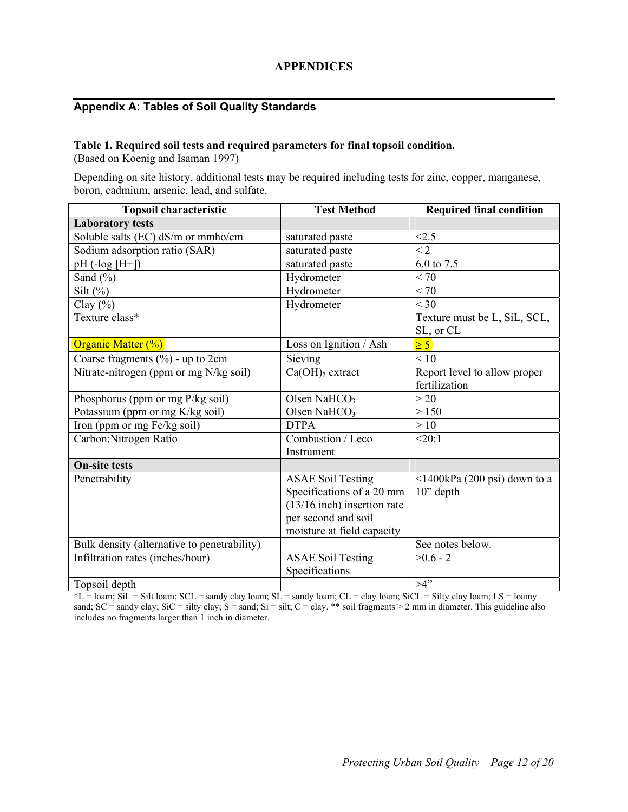# **APPENDICES**

# <span id="page-11-0"></span>**Appendix A: Tables of Soil Quality Standards**

#### **Table 1. Required soil tests and required parameters for final topsoil condition.**

(Based on Koenig and Isaman 1997)

Depending on site history, additional tests may be required including tests for zinc, copper, manganese, boron, cadmium, arsenic, lead, and sulfate.

| <b>Topsoil characteristic</b>               | <b>Test Method</b>            | <b>Required final condition</b>               |
|---------------------------------------------|-------------------------------|-----------------------------------------------|
| <b>Laboratory tests</b>                     |                               |                                               |
| Soluble salts (EC) dS/m or mmho/cm          | saturated paste               | < 2.5                                         |
| Sodium adsorption ratio (SAR)               | saturated paste               | $\leq$ 2                                      |
| $pH(-log [H+])$                             | saturated paste               | 6.0 to 7.5                                    |
| Sand $(\% )$                                | Hydrometer                    | < 70                                          |
| Silt $(\%)$                                 | Hydrometer                    | < 70                                          |
| Clay $(\%)$                                 | Hydrometer                    | $<$ 30                                        |
| Texture class*                              |                               | Texture must be L, SiL, SCL,<br>SL, or CL     |
| Organic Matter (%)                          | Loss on Ignition / Ash        | $\geq 5$                                      |
| Coarse fragments $(\% )$ - up to 2cm        | Sieving                       | $\overline{0}$                                |
| Nitrate-nitrogen (ppm or mg N/kg soil)      | $Ca(OH)2$ extract             | Report level to allow proper<br>fertilization |
| Phosphorus (ppm or mg P/kg soil)            | Olsen NaHCO <sub>3</sub>      | >20                                           |
| Potassium (ppm or mg K/kg soil)             | Olsen Na $HCO3$               | > 150                                         |
| Iron (ppm or mg Fe/kg soil)                 | <b>DTPA</b>                   | >10                                           |
| Carbon: Nitrogen Ratio                      | Combustion / Leco             | <20:1                                         |
|                                             | Instrument                    |                                               |
| <b>On-site tests</b>                        |                               |                                               |
| Penetrability                               | <b>ASAE Soil Testing</b>      | $\leq$ 1400kPa (200 psi) down to a            |
|                                             | Specifications of a 20 mm     | $10$ " depth                                  |
|                                             | $(13/16$ inch) insertion rate |                                               |
|                                             | per second and soil           |                                               |
|                                             | moisture at field capacity    |                                               |
| Bulk density (alternative to penetrability) |                               | See notes below.                              |
| Infiltration rates (inches/hour)            | <b>ASAE Soil Testing</b>      | $>0.6 - 2$                                    |
|                                             | Specifications                |                                               |
| Topsoil depth                               |                               | $>4$ "                                        |

 $*L =$ loam; SiL = Silt loam; SCL = sandy clay loam; SL = sandy loam; CL = clay loam; SiCL = Silty clay loam; LS = loamy sand;  $SC =$  sandy clay;  $SiC =$  silty clay;  $S =$  sand;  $Si =$  silt;  $C =$  clay. \*\* soil fragments > 2 mm in diameter. This guideline also includes no fragments larger than 1 inch in diameter.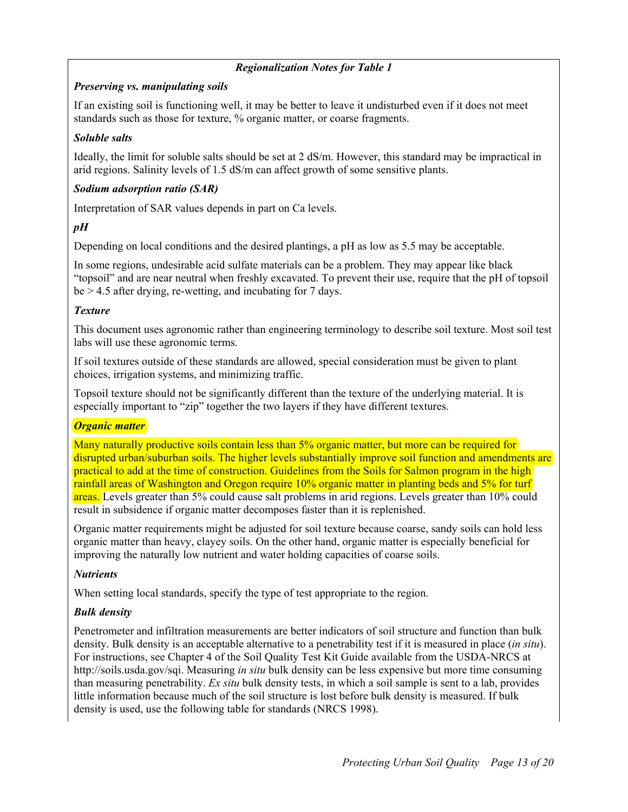# *Regionalization Notes for Table 1*

#### *Preserving vs. manipulating soils*

If an existing soil is functioning well, it may be better to leave it undisturbed even if it does not meet standards such as those for texture, % organic matter, or coarse fragments.

#### *Soluble salts*

Ideally, the limit for soluble salts should be set at 2 dS/m. However, this standard may be impractical in arid regions. Salinity levels of 1.5 dS/m can affect growth of some sensitive plants.

# *Sodium adsorption ratio (SAR)*

Interpretation of SAR values depends in part on Ca levels.

# *pH*

Depending on local conditions and the desired plantings, a pH as low as 5.5 may be acceptable.

In some regions, undesirable acid sulfate materials can be a problem. They may appear like black "topsoil" and are near neutral when freshly excavated. To prevent their use, require that the pH of topsoil be > 4.5 after drying, re-wetting, and incubating for 7 days.

#### *Texture*

This document uses agronomic rather than engineering terminology to describe soil texture. Most soil test labs will use these agronomic terms.

If soil textures outside of these standards are allowed, special consideration must be given to plant choices, irrigation systems, and minimizing traffic.

Topsoil texture should not be significantly different than the texture of the underlying material. It is especially important to "zip" together the two layers if they have different textures.

#### *Organic matter*

Many naturally productive soils contain less than 5% organic matter, but more can be required for disrupted urban/suburban soils. The higher levels substantially improve soil function and amendments are practical to add at the time of construction. Guidelines from the Soils for Salmon program in the high rainfall areas of Washington and Oregon require 10% organic matter in planting beds and 5% for turf areas. Levels greater than 5% could cause salt problems in arid regions. Levels greater than 10% could result in subsidence if organic matter decomposes faster than it is replenished.

Organic matter requirements might be adjusted for soil texture because coarse, sandy soils can hold less organic matter than heavy, clayey soils. On the other hand, organic matter is especially beneficial for improving the naturally low nutrient and water holding capacities of coarse soils.

#### *Nutrients*

When setting local standards, specify the type of test appropriate to the region.

# *Bulk density*

Penetrometer and infiltration measurements are better indicators of soil structure and function than bulk density. Bulk density is an acceptable alternative to a penetrability test if it is measured in place (*in situ*). For instructions, see Chapter 4 of the Soil Quality Test Kit Guide available from the USDA-NRCS at http://soils.usda.gov/sqi. Measuring *in situ* bulk density can be less expensive but more time consuming than measuring penetrability. *Ex situ* bulk density tests, in which a soil sample is sent to a lab, provides little information because much of the soil structure is lost before bulk density is measured. If bulk density is used, use the following table for standards (NRCS 1998).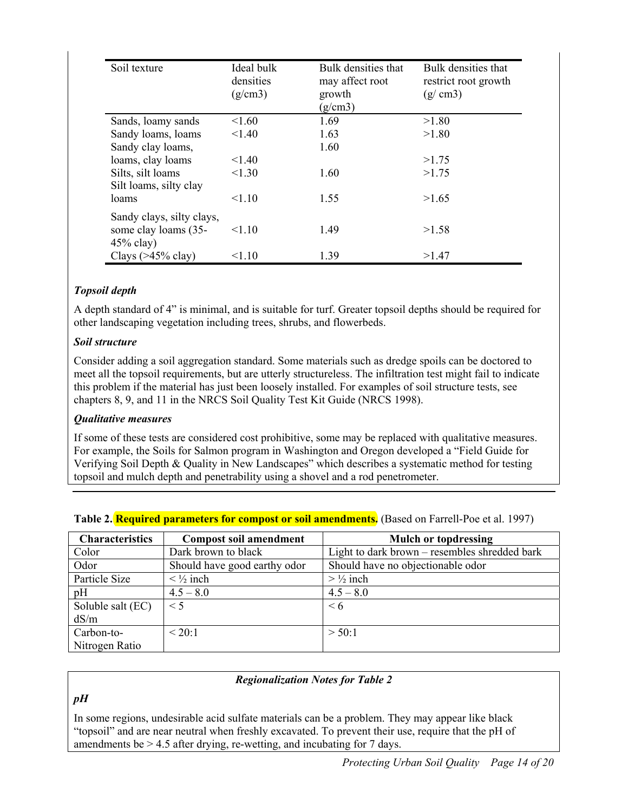| Soil texture                                                      | Ideal bulk<br>densities<br>(g/cm3) | Bulk densities that<br>may affect root<br>growth<br>(g/cm3) | Bulk densities that<br>restrict root growth<br>(g/cm3) |
|-------------------------------------------------------------------|------------------------------------|-------------------------------------------------------------|--------------------------------------------------------|
| Sands, loamy sands                                                | < 1.60                             | 1.69                                                        | >1.80                                                  |
| Sandy loams, loams                                                | < 1.40                             | 1.63                                                        | >1.80                                                  |
| Sandy clay loams,                                                 |                                    | 1.60                                                        |                                                        |
| loams, clay loams                                                 | < 1.40                             |                                                             | >1.75                                                  |
| Silts, silt loams<br>Silt loams, silty clay                       | < 1.30                             | 1.60                                                        | >1.75                                                  |
| loams                                                             | < 1.10                             | 1.55                                                        | >1.65                                                  |
| Sandy clays, silty clays,<br>some clay loams (35-<br>$45\%$ clay) | < 1.10                             | 1.49                                                        | >1.58                                                  |
| Clays $($ >45% clay $)$                                           | < 1.10                             | 1.39                                                        | >1.47                                                  |

# *Topsoil depth*

A depth standard of 4" is minimal, and is suitable for turf. Greater topsoil depths should be required for other landscaping vegetation including trees, shrubs, and flowerbeds.

# *Soil structure*

Consider adding a soil aggregation standard. Some materials such as dredge spoils can be doctored to meet all the topsoil requirements, but are utterly structureless. The infiltration test might fail to indicate this problem if the material has just been loosely installed. For examples of soil structure tests, see chapters 8, 9, and 11 in the NRCS Soil Quality Test Kit Guide (NRCS 1998).

# *Qualitative measures*

If some of these tests are considered cost prohibitive, some may be replaced with qualitative measures. For example, the Soils for Salmon program in Washington and Oregon developed a "Field Guide for Verifying Soil Depth & Quality in New Landscapes" which describes a systematic method for testing topsoil and mulch depth and penetrability using a shovel and a rod penetrometer.

| <b>Characteristics</b> | <b>Compost soil amendment</b>      | <b>Mulch or topdressing</b>                   |
|------------------------|------------------------------------|-----------------------------------------------|
| Color                  | Dark brown to black                | Light to dark brown – resembles shredded bark |
| Odor                   | Should have good earthy odor       | Should have no objectionable odor             |
| Particle Size          | $\langle \frac{1}{2} \rangle$ inch | $> \frac{1}{2}$ inch                          |
| pH                     | $4.5 - 8.0$                        | $4.5 - 8.0$                                   |
| Soluble salt (EC)      | $\leq$ 5                           | $\leq 6$                                      |
| dS/m                   |                                    |                                               |
| Carbon-to-             | ${}<$ 20:1                         | > 50:1                                        |
| Nitrogen Ratio         |                                    |                                               |

# **Table 2. Required parameters for compost or soil amendments.** (Based on Farrell-Poe et al. 1997)

# *Regionalization Notes for Table 2*

# *pH*

In some regions, undesirable acid sulfate materials can be a problem. They may appear like black "topsoil" and are near neutral when freshly excavated. To prevent their use, require that the pH of amendments be  $> 4.5$  after drying, re-wetting, and incubating for 7 days.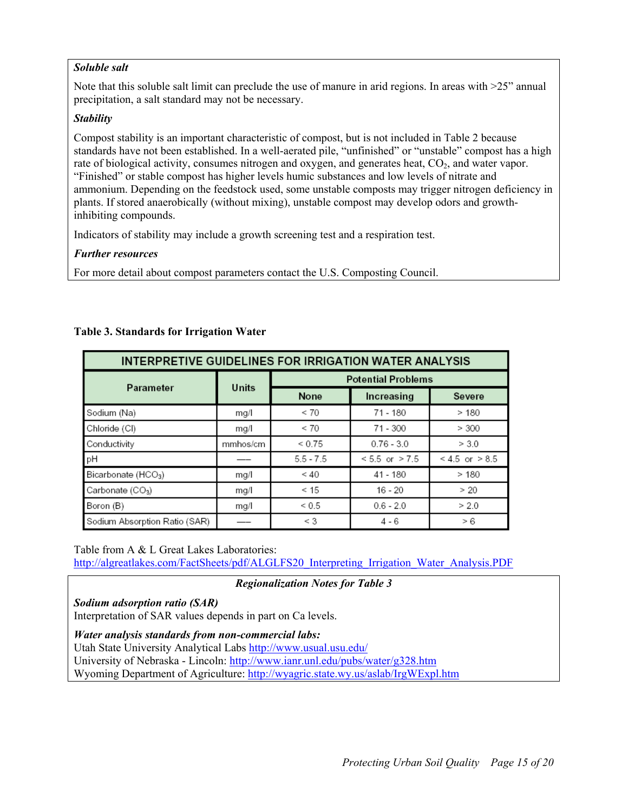#### *Soluble salt*

Note that this soluble salt limit can preclude the use of manure in arid regions. In areas with  $>25$ " annual precipitation, a salt standard may not be necessary.

#### *Stability*

Compost stability is an important characteristic of compost, but is not included in Table 2 because standards have not been established. In a well-aerated pile, "unfinished" or "unstable" compost has a high rate of biological activity, consumes nitrogen and oxygen, and generates heat,  $CO<sub>2</sub>$ , and water vapor. "Finished" or stable compost has higher levels humic substances and low levels of nitrate and ammonium. Depending on the feedstock used, some unstable composts may trigger nitrogen deficiency in plants. If stored anaerobically (without mixing), unstable compost may develop odors and growthinhibiting compounds.

Indicators of stability may include a growth screening test and a respiration test.

#### *Further resources*

For more detail about compost parameters contact the U.S. Composting Council.

| <b>INTERPRETIVE GUIDELINES FOR IRRIGATION WATER ANALYSIS</b> |          |                           |                    |                    |
|--------------------------------------------------------------|----------|---------------------------|--------------------|--------------------|
| Parameter                                                    | Units    | <b>Potential Problems</b> |                    |                    |
|                                                              |          | None                      | Increasing         | Severe             |
| Sodium (Na)                                                  | mg/      | < 70                      | 71 - 180           | >180               |
| Chloride (CI)                                                | mg/      | < 70                      | 71 - 300           | > 300              |
| Conductivity                                                 | mmhos/cm | ${}_{0.75}$               | $0.76 - 3.0$       | > 3.0              |
| pН                                                           |          | $5.5 - 7.5$               | $< 5.5$ or $> 7.5$ | $< 4.5$ or $> 8.5$ |
| Bicarbonate (HCO <sub>3</sub> )                              | mg/      | < 40                      | $41 - 180$         | >180               |
| Carbonate (CO3)                                              | mg/      | < 15                      | $16 - 20$          | > 20               |
| Boron (B)                                                    | mg/      | ${}_{0.5}$                | $0.6 - 2.0$        | > 2.0              |
| Sodium Absorption Ratio (SAR)                                |          | $\leq$ 3                  | $4 - 6$            | > 6                |

# **Table 3. Standards for Irrigation Water**

Table from A & L Great Lakes Laboratories:

[http://algreatlakes.com/FactSheets/pdf/ALGLFS20\\_Interpreting\\_Irrigation\\_Water\\_Analysis.PDF](http://algreatlakes.com/FactSheets/pdf/ALGLFS20_Interpreting_Irrigation_Water_Analysis.PDF)

*Regionalization Notes for Table 3* 

*Sodium adsorption ratio (SAR)* 

Interpretation of SAR values depends in part on Ca levels.

*Water analysis standards from non-commercial labs:* 

Utah State University Analytical Labs <http://www.usual.usu.edu/>

University of Nebraska - Lincoln: <http://www.ianr.unl.edu/pubs/water/g328.htm>

Wyoming Department of Agriculture: <http://wyagric.state.wy.us/aslab/IrgWExpl.htm>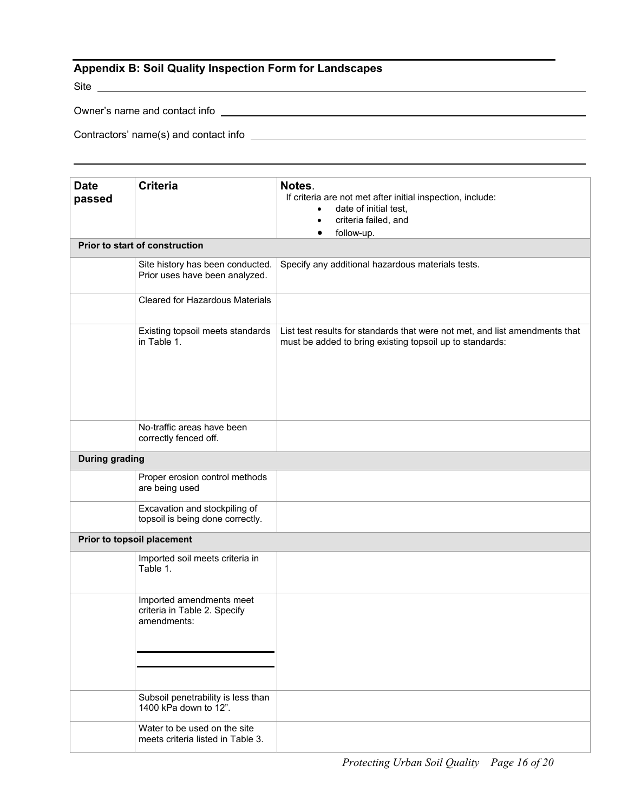# <span id="page-15-0"></span>**Appendix B: Soil Quality Inspection Form for Landscapes**

Site

Owner's name and contact info

Contractors' name(s) and contact info

| <b>Date</b>           | <b>Criteria</b>                                                         | Notes.<br>If criteria are not met after initial inspection, include:                                                                    |
|-----------------------|-------------------------------------------------------------------------|-----------------------------------------------------------------------------------------------------------------------------------------|
| passed                |                                                                         | date of initial test,                                                                                                                   |
|                       |                                                                         | criteria failed, and<br>$\bullet$                                                                                                       |
|                       |                                                                         | follow-up.<br>٠                                                                                                                         |
|                       | Prior to start of construction                                          |                                                                                                                                         |
|                       | Site history has been conducted.<br>Prior uses have been analyzed.      | Specify any additional hazardous materials tests.                                                                                       |
|                       | Cleared for Hazardous Materials                                         |                                                                                                                                         |
|                       | Existing topsoil meets standards<br>in Table 1.                         | List test results for standards that were not met, and list amendments that<br>must be added to bring existing topsoil up to standards: |
|                       | No-traffic areas have been<br>correctly fenced off.                     |                                                                                                                                         |
| <b>During grading</b> |                                                                         |                                                                                                                                         |
|                       | Proper erosion control methods<br>are being used                        |                                                                                                                                         |
|                       | Excavation and stockpiling of<br>topsoil is being done correctly.       |                                                                                                                                         |
|                       | Prior to topsoil placement                                              |                                                                                                                                         |
|                       | Imported soil meets criteria in<br>Table 1.                             |                                                                                                                                         |
|                       | Imported amendments meet<br>criteria in Table 2. Specify<br>amendments: |                                                                                                                                         |
|                       |                                                                         |                                                                                                                                         |
|                       | Subsoil penetrability is less than<br>1400 kPa down to 12".             |                                                                                                                                         |
|                       | Water to be used on the site<br>meets criteria listed in Table 3.       |                                                                                                                                         |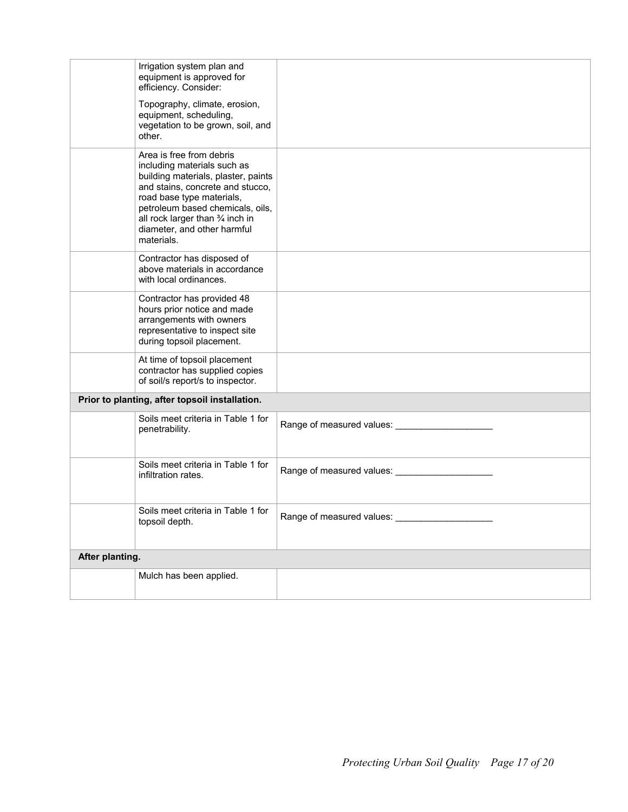|                 | Irrigation system plan and<br>equipment is approved for<br>efficiency. Consider:                                                                                                                                                                                                     |                             |
|-----------------|--------------------------------------------------------------------------------------------------------------------------------------------------------------------------------------------------------------------------------------------------------------------------------------|-----------------------------|
|                 | Topography, climate, erosion,<br>equipment, scheduling,<br>vegetation to be grown, soil, and<br>other.                                                                                                                                                                               |                             |
|                 | Area is free from debris<br>including materials such as<br>building materials, plaster, paints<br>and stains, concrete and stucco,<br>road base type materials,<br>petroleum based chemicals, oils,<br>all rock larger than 3/4 inch in<br>diameter, and other harmful<br>materials. |                             |
|                 | Contractor has disposed of<br>above materials in accordance<br>with local ordinances.                                                                                                                                                                                                |                             |
|                 | Contractor has provided 48<br>hours prior notice and made<br>arrangements with owners<br>representative to inspect site<br>during topsoil placement.                                                                                                                                 |                             |
|                 | At time of topsoil placement<br>contractor has supplied copies<br>of soil/s report/s to inspector.                                                                                                                                                                                   |                             |
|                 | Prior to planting, after topsoil installation.                                                                                                                                                                                                                                       |                             |
|                 | Soils meet criteria in Table 1 for<br>penetrability.                                                                                                                                                                                                                                 |                             |
|                 | Soils meet criteria in Table 1 for<br>infiltration rates.                                                                                                                                                                                                                            |                             |
|                 | Soils meet criteria in Table 1 for<br>topsoil depth.                                                                                                                                                                                                                                 | Range of measured values: _ |
| After planting. |                                                                                                                                                                                                                                                                                      |                             |
|                 | Mulch has been applied.                                                                                                                                                                                                                                                              |                             |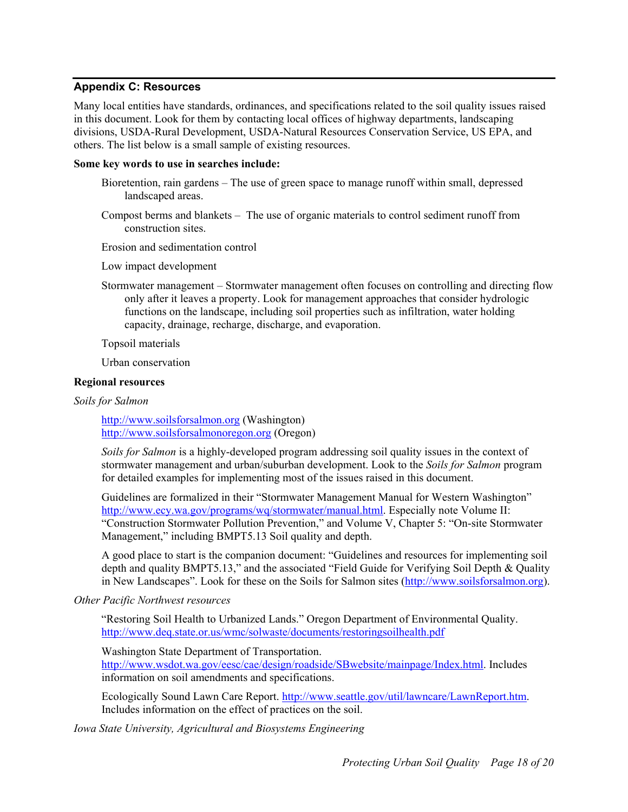#### <span id="page-17-0"></span>**Appendix C: Resources**

Many local entities have standards, ordinances, and specifications related to the soil quality issues raised in this document. Look for them by contacting local offices of highway departments, landscaping divisions, USDA-Rural Development, USDA-Natural Resources Conservation Service, US EPA, and others. The list below is a small sample of existing resources.

#### **Some key words to use in searches include:**

- Bioretention, rain gardens The use of green space to manage runoff within small, depressed landscaped areas.
- Compost berms and blankets The use of organic materials to control sediment runoff from construction sites.

Erosion and sedimentation control

Low impact development

Stormwater management – Stormwater management often focuses on controlling and directing flow only after it leaves a property. Look for management approaches that consider hydrologic functions on the landscape, including soil properties such as infiltration, water holding capacity, drainage, recharge, discharge, and evaporation.

Topsoil materials

Urban conservation

#### **Regional resources**

*Soils for Salmon* 

[http://www.soilsforsalmon.org](http://www.soilsforsalmon.org/) (Washington) [http://www.soilsforsalmonoregon.org](http://www.soilsforsalmonoregon.org/) (Oregon)

*Soils for Salmon* is a highly-developed program addressing soil quality issues in the context of stormwater management and urban/suburban development. Look to the *Soils for Salmon* program for detailed examples for implementing most of the issues raised in this document.

Guidelines are formalized in their "Stormwater Management Manual for Western Washington" [http://www.ecy.wa.gov/programs/wq/stormwater/manual.html.](http://www.ecy.wa.gov/programs/wq/stormwater/manual.html) Especially note Volume II: "Construction Stormwater Pollution Prevention," and Volume V, Chapter 5: "On-site Stormwater Management," including BMPT5.13 Soil quality and depth.

A good place to start is the companion document: "Guidelines and resources for implementing soil depth and quality BMPT5.13," and the associated "Field Guide for Verifying Soil Depth & Quality in New Landscapes". Look for these on the Soils for Salmon sites [\(http://www.soilsforsalmon.org\)](http://www.soilsforsalmon.org/).

# *Other Pacific Northwest resources*

"Restoring Soil Health to Urbanized Lands." Oregon Department of Environmental Quality. <http://www.deq.state.or.us/wmc/solwaste/documents/restoringsoilhealth.pdf>

Washington State Department of Transportation.

<http://www.wsdot.wa.gov/eesc/cae/design/roadside/SBwebsite/mainpage/Index.html>. Includes information on soil amendments and specifications.

Ecologically Sound Lawn Care Report. [http://www.seattle.gov/util/lawncare/LawnReport.htm.](http://www.seattle.gov/util/lawncare/LawnReport.htm) Includes information on the effect of practices on the soil.

*Iowa State University, Agricultural and Biosystems Engineering*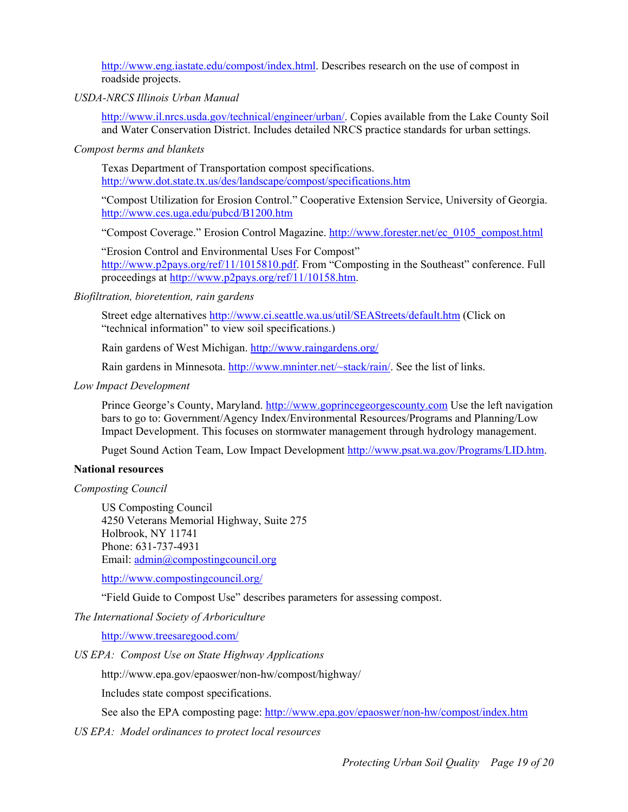[http://www.eng.iastate.edu/compost/index.html.](http://www.eng.iastate.edu/compost/index.html) Describes research on the use of compost in roadside projects.

#### *USDA-NRCS Illinois Urban Manual*

<http://www.il.nrcs.usda.gov/technical/engineer/urban/>. Copies available from the Lake County Soil and Water Conservation District. Includes detailed NRCS practice standards for urban settings.

*Compost berms and blankets* 

Texas Department of Transportation compost specifications. <http://www.dot.state.tx.us/des/landscape/compost/specifications.htm>

"Compost Utilization for Erosion Control." Cooperative Extension Service, University of Georgia. <http://www.ces.uga.edu/pubcd/B1200.htm>

"Compost Coverage." Erosion Control Magazine. [http://www.forester.net/ec\\_0105\\_compost.html](http://www.forester.net/ec_0105_compost.html) 

"Erosion Control and Environmental Uses For Compost" <http://www.p2pays.org/ref/11/1015810.pdf>. From "Composting in the Southeast" conference. Full proceedings at [http://www.p2pays.org/ref/11/10158.htm.](http://www.p2pays.org/ref/11/10158.htm)

#### *Biofiltration, bioretention, rain gardens*

Street edge alternatives<http://www.ci.seattle.wa.us/util/SEAStreets/default.htm>(Click on "technical information" to view soil specifications.)

Rain gardens of West Michigan.<http://www.raingardens.org/>

Rain gardens in Minnesota. [http://www.mninter.net/~stack/rain/.](http://www.mninter.net/~stack/rain/) See the list of links.

#### *Low Impact Development*

Prince George's County, Maryland. [http://www.goprincegeorgescounty.com](http://www.goprincegeorgescounty.com/) Use the left navigation bars to go to: Government/Agency Index/Environmental Resources/Programs and Planning/Low Impact Development. This focuses on stormwater management through hydrology management.

Puget Sound Action Team, Low Impact Development [http://www.psat.wa.gov/Programs/LID.htm.](http://www.psat.wa.gov/Programs/LID.htm)

#### **National resources**

*Composting Council* 

US Composting Council 4250 Veterans Memorial Highway, Suite 275 Holbrook, NY 11741 Phone: 631-737-4931 Email: [admin@compostingcouncil.org](mailto:admin@compostingcouncil.org)

<http://www.compostingcouncil.org/>

"Field Guide to Compost Use" describes parameters for assessing compost.

*The International Society of Arboriculture* 

<http://www.treesaregood.com/>

*US EPA: Compost Use on State Highway Applications* 

http://www.epa.gov/epaoswer/non-hw/compost/highway/

Includes state compost specifications.

See also the EPA composting page:<http://www.epa.gov/epaoswer/non-hw/compost/index.htm>

*US EPA: Model ordinances to protect local resources*